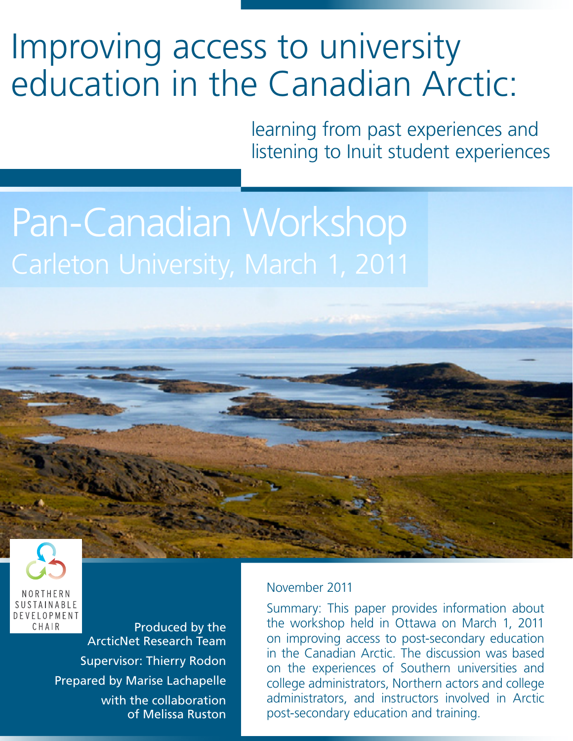# Improving access to university education in the Canadian Arctic:

learning from past experiences and listening to Inuit student experiences

# Pan-Canadian Workshop



Produced by the ArcticNet Research Team Supervisor: Thierry Rodon Prepared by Marise Lachapelle with the collaboration of Melissa Ruston

#### November 2011

Summary: This paper provides information about the workshop held in Ottawa on March 1, 2011 on improving access to post-secondary education in the Canadian Arctic. The discussion was based on the experiences of Southern universities and college administrators, Northern actors and college administrators, and instructors involved in Arctic post-secondary education and training.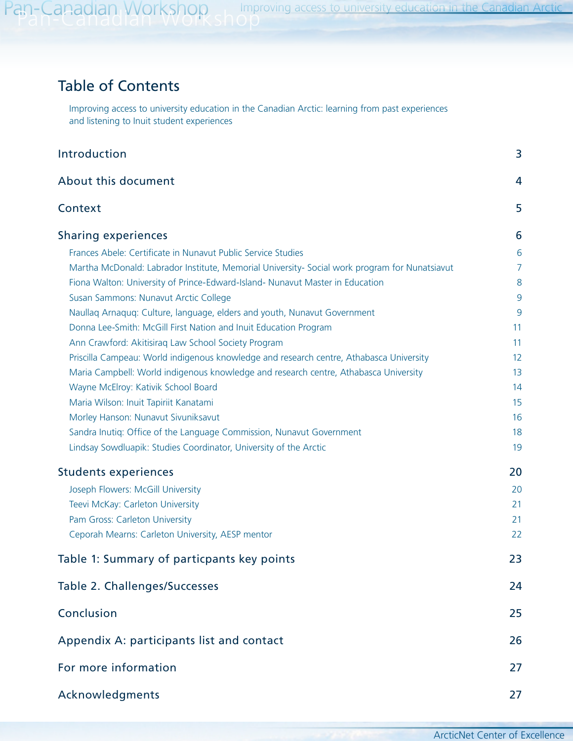# Table of Contents

Improving access to university education in the Canadian Arctic: learning from past experiences and listening to Inuit student experiences

| Introduction                                                                                  | 3              |
|-----------------------------------------------------------------------------------------------|----------------|
| About this document                                                                           | 4              |
| Context                                                                                       | 5              |
| <b>Sharing experiences</b>                                                                    | 6              |
| Frances Abele: Certificate in Nunavut Public Service Studies                                  | 6              |
| Martha McDonald: Labrador Institute, Memorial University- Social work program for Nunatsiavut | $\overline{7}$ |
| Fiona Walton: University of Prince-Edward-Island- Nunavut Master in Education                 | 8              |
| Susan Sammons: Nunavut Arctic College                                                         | 9              |
| Naullaq Arnaquq: Culture, language, elders and youth, Nunavut Government                      | 9              |
| Donna Lee-Smith: McGill First Nation and Inuit Education Program                              | 11             |
| Ann Crawford: Akitisiraq Law School Society Program                                           | 11             |
| Priscilla Campeau: World indigenous knowledge and research centre, Athabasca University       | 12             |
| Maria Campbell: World indigenous knowledge and research centre, Athabasca University          | 13             |
| Wayne McElroy: Kativik School Board                                                           | 14             |
| Maria Wilson: Inuit Tapiriit Kanatami                                                         | 15             |
| Morley Hanson: Nunavut Sivuniksavut                                                           | 16             |
| Sandra Inutiq: Office of the Language Commission, Nunavut Government                          | 18             |
| Lindsay Sowdluapik: Studies Coordinator, University of the Arctic                             | 19             |
| <b>Students experiences</b>                                                                   | 20             |
| Joseph Flowers: McGill University                                                             | 20             |
| Teevi McKay: Carleton University                                                              | 21             |
| Pam Gross: Carleton University                                                                | 21             |
| Ceporah Mearns: Carleton University, AESP mentor                                              | 22             |
| Table 1: Summary of particpants key points                                                    | 23             |
| Table 2. Challenges/Successes                                                                 | 24             |
| Conclusion                                                                                    | 25             |
| Appendix A: participants list and contact                                                     | 26             |
| For more information                                                                          | 27             |
| Acknowledgments                                                                               | 27             |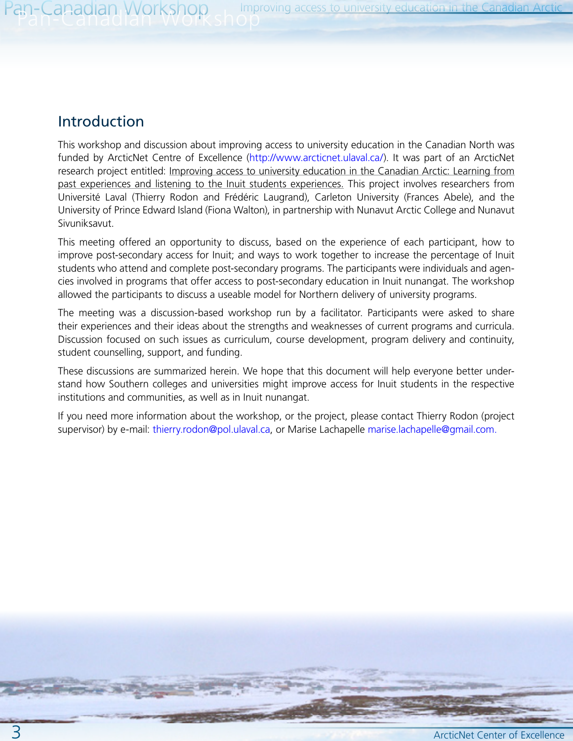## Introduction

This workshop and discussion about improving access to university education in the Canadian North was funded by ArcticNet Centre of Excellence ([http://www.arcticnet.ulaval.ca/\)](http://www.arcticnet.ulaval.ca/). It was part of an ArcticNet research project entitled: Improving access to university education in the Canadian Arctic: Learning from past experiences and listening to the Inuit students experiences. This project involves researchers from Université Laval (Thierry Rodon and Frédéric Laugrand), Carleton University (Frances Abele), and the University of Prince Edward Island (Fiona Walton), in partnership with Nunavut Arctic College and Nunavut Sivuniksavut.

This meeting offered an opportunity to discuss, based on the experience of each participant, how to improve post-secondary access for Inuit; and ways to work together to increase the percentage of Inuit students who attend and complete post-secondary programs. The participants were individuals and agencies involved in programs that offer access to post-secondary education in Inuit nunangat. The workshop allowed the participants to discuss a useable model for Northern delivery of university programs.

The meeting was a discussion-based workshop run by a facilitator. Participants were asked to share their experiences and their ideas about the strengths and weaknesses of current programs and curricula. Discussion focused on such issues as curriculum, course development, program delivery and continuity, student counselling, support, and funding.

These discussions are summarized herein. We hope that this document will help everyone better understand how Southern colleges and universities might improve access for Inuit students in the respective institutions and communities, as well as in Inuit nunangat.

If you need more information about the workshop, or the project, please contact Thierry Rodon (project supervisor) by e-mail: [thierry.rodon@pol.ulaval.ca,](mailto:thierry.rodon@pol.ulaval.ca) or Marise Lachapelle [marise.lachapelle@gmail.com](mailto:marise.lachapelle@gmail.com).

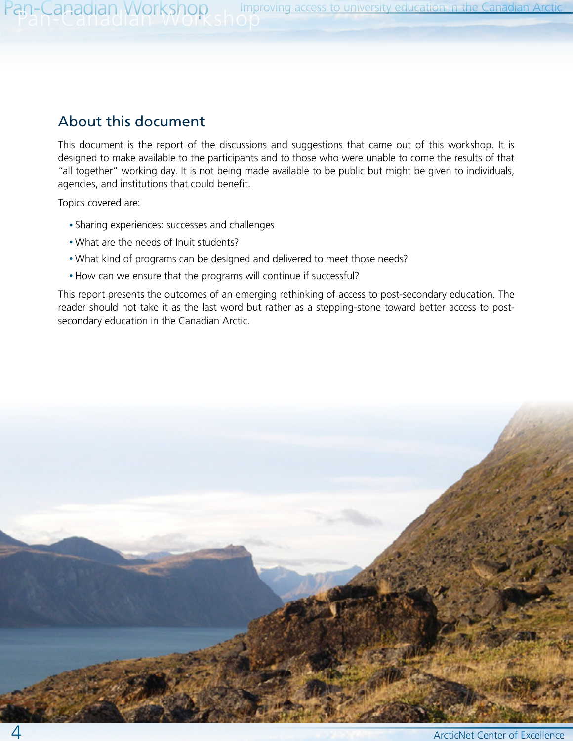# About this document

This document is the report of the discussions and suggestions that came out of this workshop. It is designed to make available to the participants and to those who were unable to come the results of that "all together" working day. It is not being made available to be public but might be given to individuals, agencies, and institutions that could benefit.

Topics covered are:

- Sharing experiences: successes and challenges
- What are the needs of Inuit students?
- What kind of programs can be designed and delivered to meet those needs?
- How can we ensure that the programs will continue if successful?

This report presents the outcomes of an emerging rethinking of access to post-secondary education. The reader should not take it as the last word but rather as a stepping-stone toward better access to postsecondary education in the Canadian Arctic.

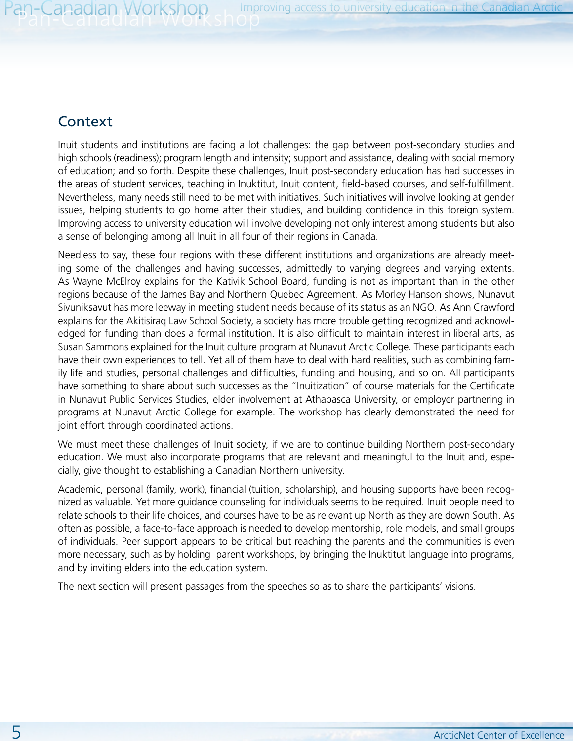# **Context**

Inuit students and institutions are facing a lot challenges: the gap between post-secondary studies and high schools (readiness); program length and intensity; support and assistance, dealing with social memory of education; and so forth. Despite these challenges, Inuit post-secondary education has had successes in the areas of student services, teaching in Inuktitut, Inuit content, field-based courses, and self-fulfillment. Nevertheless, many needs still need to be met with initiatives. Such initiatives will involve looking at gender issues, helping students to go home after their studies, and building confidence in this foreign system. Improving access to university education will involve developing not only interest among students but also a sense of belonging among all Inuit in all four of their regions in Canada.

Needless to say, these four regions with these different institutions and organizations are already meeting some of the challenges and having successes, admittedly to varying degrees and varying extents. As Wayne McElroy explains for the Kativik School Board, funding is not as important than in the other regions because of the James Bay and Northern Quebec Agreement. As Morley Hanson shows, Nunavut Sivuniksavut has more leeway in meeting student needs because of its status as an NGO. As Ann Crawford explains for the Akitisiraq Law School Society, a society has more trouble getting recognized and acknowledged for funding than does a formal institution. It is also difficult to maintain interest in liberal arts, as Susan Sammons explained for the Inuit culture program at Nunavut Arctic College. These participants each have their own experiences to tell. Yet all of them have to deal with hard realities, such as combining family life and studies, personal challenges and difficulties, funding and housing, and so on. All participants have something to share about such successes as the "Inuitization" of course materials for the Certificate in Nunavut Public Services Studies, elder involvement at Athabasca University, or employer partnering in programs at Nunavut Arctic College for example. The workshop has clearly demonstrated the need for joint effort through coordinated actions.

We must meet these challenges of Inuit society, if we are to continue building Northern post-secondary education. We must also incorporate programs that are relevant and meaningful to the Inuit and, especially, give thought to establishing a Canadian Northern university.

Academic, personal (family, work), financial (tuition, scholarship), and housing supports have been recognized as valuable. Yet more guidance counseling for individuals seems to be required. Inuit people need to relate schools to their life choices, and courses have to be as relevant up North as they are down South. As often as possible, a face-to-face approach is needed to develop mentorship, role models, and small groups of individuals. Peer support appears to be critical but reaching the parents and the communities is even more necessary, such as by holding parent workshops, by bringing the Inuktitut language into programs, and by inviting elders into the education system.

The next section will present passages from the speeches so as to share the participants' visions.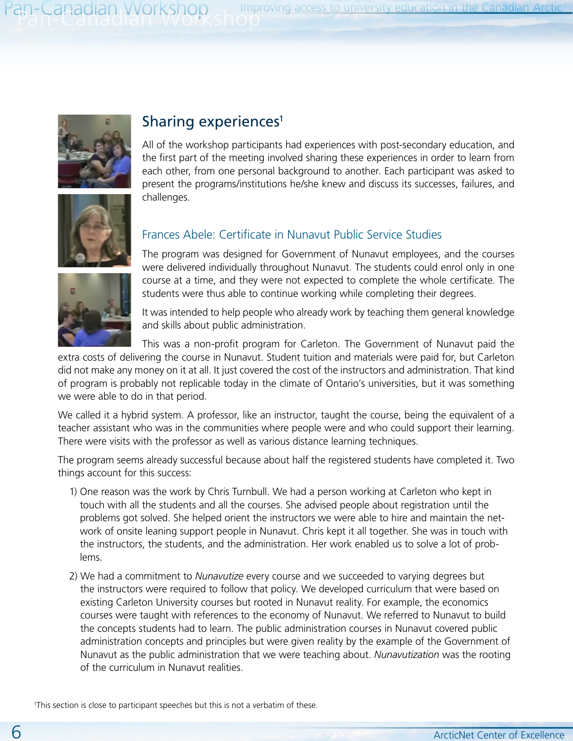

# Sharing experiences<sup>1</sup>

All of the workshop participants had experiences with post-secondary education, and the first part of the meeting involved sharing these experiences in order to learn from each other, from one personal background to another. Each participant was asked to present the programs/institutions he/she knew and discuss its successes, failures, and challenges.



# Frances Abele: Certificate in Nunavut Public Service Studies

The program was designed for Government of Nunavut employees, and the courses were delivered individually throughout Nunavut. The students could enrol only in one course at a time, and they were not expected to complete the whole certificate. The students were thus able to continue working while completing their degrees.



It was intended to help people who already work by teaching them general knowledge and skills about public administration.

This was a non-profit program for Carleton. The Government of Nunavut paid the

extra costs of delivering the course in Nunavut. Student tuition and materials were paid for, but Carleton did not make any money on it at all. It just covered the cost of the instructors and administration. That kind of program is probably not replicable today in the climate of Ontario's universities, but it was something we were able to do in that period.

We called it a hybrid system. A professor, like an instructor, taught the course, being the equivalent of a teacher assistant who was in the communities where people were and who could support their learning. There were visits with the professor as well as various distance learning techniques.

The program seems already successful because about half the registered students have completed it. Two things account for this success:

- 1) One reason was the work by Chris Turnbull. We had a person working at Carleton who kept in touch with all the students and all the courses. She advised people about registration until the problems got solved. She helped orient the instructors we were able to hire and maintain the network of onsite leaning support people in Nunavut. Chris kept it all together. She was in touch with the instructors, the students, and the administration. Her work enabled us to solve a lot of problems.
- 2) We had a commitment to *Nunavutize* every course and we succeeded to varying degrees but the instructors were required to follow that policy. We developed curriculum that were based on existing Carleton University courses but rooted in Nunavut reality. For example, the economics courses were taught with references to the economy of Nunavut. We referred to Nunavut to build the concepts students had to learn. The public administration courses in Nunavut covered public administration concepts and principles but were given reality by the example of the Government of Nunavut as the public administration that we were teaching about. *Nunavutization* was the rooting of the curriculum in Nunavut realities.

<sup>1</sup>This section is close to participant speeches but this is not a verbatim of these.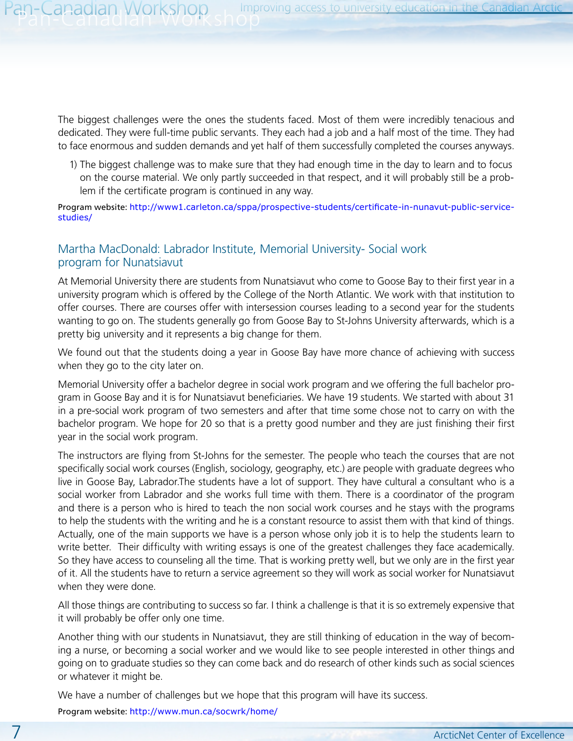The biggest challenges were the ones the students faced. Most of them were incredibly tenacious and dedicated. They were full-time public servants. They each had a job and a half most of the time. They had to face enormous and sudden demands and yet half of them successfully completed the courses anyways.

1) The biggest challenge was to make sure that they had enough time in the day to learn and to focus on the course material. We only partly succeeded in that respect, and it will probably still be a problem if the certificate program is continued in any way.

Program website: [http://www1.carleton.ca/sppa/prospective-students/certificate-in-nunavut-public-service](http://www1.carleton.ca/sppa/prospective-students/certificate-in-nunavut-public-service-studies/)[studies/](http://www1.carleton.ca/sppa/prospective-students/certificate-in-nunavut-public-service-studies/)

#### Martha MacDonald: Labrador Institute, Memorial University- Social work program for Nunatsiavut

At Memorial University there are students from Nunatsiavut who come to Goose Bay to their first year in a university program which is offered by the College of the North Atlantic. We work with that institution to offer courses. There are courses offer with intersession courses leading to a second year for the students wanting to go on. The students generally go from Goose Bay to St-Johns University afterwards, which is a pretty big university and it represents a big change for them.

We found out that the students doing a year in Goose Bay have more chance of achieving with success when they go to the city later on.

Memorial University offer a bachelor degree in social work program and we offering the full bachelor program in Goose Bay and it is for Nunatsiavut beneficiaries. We have 19 students. We started with about 31 in a pre-social work program of two semesters and after that time some chose not to carry on with the bachelor program. We hope for 20 so that is a pretty good number and they are just finishing their first year in the social work program.

The instructors are flying from St-Johns for the semester. The people who teach the courses that are not specifically social work courses (English, sociology, geography, etc.) are people with graduate degrees who live in Goose Bay, Labrador.The students have a lot of support. They have cultural a consultant who is a social worker from Labrador and she works full time with them. There is a coordinator of the program and there is a person who is hired to teach the non social work courses and he stays with the programs to help the students with the writing and he is a constant resource to assist them with that kind of things. Actually, one of the main supports we have is a person whose only job it is to help the students learn to write better. Their difficulty with writing essays is one of the greatest challenges they face academically. So they have access to counseling all the time. That is working pretty well, but we only are in the first year of it. All the students have to return a service agreement so they will work as social worker for Nunatsiavut when they were done.

All those things are contributing to success so far. I think a challenge is that it is so extremely expensive that it will probably be offer only one time.

Another thing with our students in Nunatsiavut, they are still thinking of education in the way of becoming a nurse, or becoming a social worker and we would like to see people interested in other things and going on to graduate studies so they can come back and do research of other kinds such as social sciences or whatever it might be.

We have a number of challenges but we hope that this program will have its success.

Program website: <http://www.mun.ca/socwrk/home/>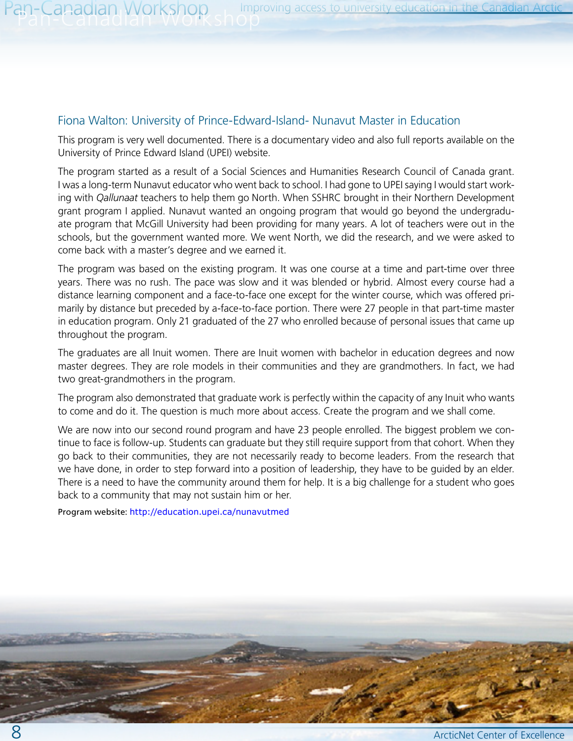#### Fiona Walton: University of Prince-Edward-Island- Nunavut Master in Education

This program is very well documented. There is a documentary video and also full reports available on the University of Prince Edward Island (UPEI) website.

The program started as a result of a Social Sciences and Humanities Research Council of Canada grant. I was a long-term Nunavut educator who went back to school. I had gone to UPEI saying I would start working with *Qallunaat* teachers to help them go North. When SSHRC brought in their Northern Development grant program I applied. Nunavut wanted an ongoing program that would go beyond the undergraduate program that McGill University had been providing for many years. A lot of teachers were out in the schools, but the government wanted more. We went North, we did the research, and we were asked to come back with a master's degree and we earned it.

The program was based on the existing program. It was one course at a time and part-time over three years. There was no rush. The pace was slow and it was blended or hybrid. Almost every course had a distance learning component and a face-to-face one except for the winter course, which was offered primarily by distance but preceded by a-face-to-face portion. There were 27 people in that part-time master in education program. Only 21 graduated of the 27 who enrolled because of personal issues that came up throughout the program.

The graduates are all Inuit women. There are Inuit women with bachelor in education degrees and now master degrees. They are role models in their communities and they are grandmothers. In fact, we had two great-grandmothers in the program.

The program also demonstrated that graduate work is perfectly within the capacity of any Inuit who wants to come and do it. The question is much more about access. Create the program and we shall come.

We are now into our second round program and have 23 people enrolled. The biggest problem we continue to face is follow-up. Students can graduate but they still require support from that cohort. When they go back to their communities, they are not necessarily ready to become leaders. From the research that we have done, in order to step forward into a position of leadership, they have to be guided by an elder. There is a need to have the community around them for help. It is a big challenge for a student who goes back to a community that may not sustain him or her.

Program website: <http://education.upei.ca/nunavutmed>

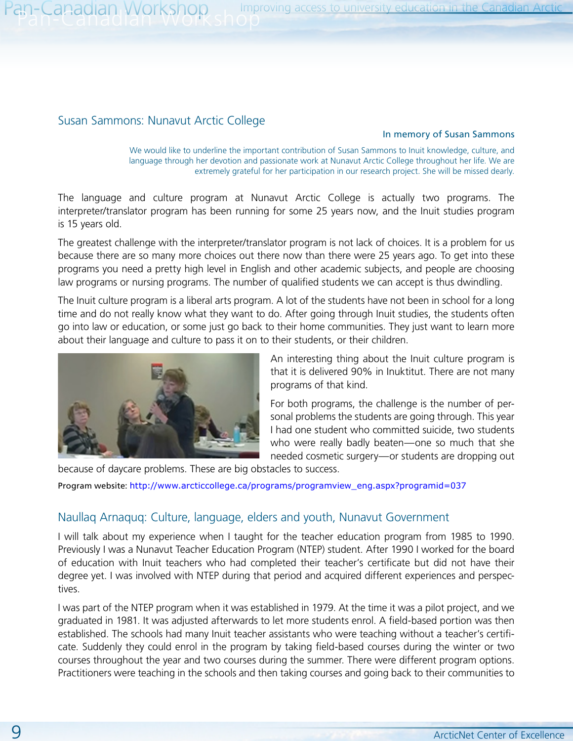#### Susan Sammons: Nunavut Arctic College

#### In memory of Susan Sammons

We would like to underline the important contribution of Susan Sammons to Inuit knowledge, culture, and language through her devotion and passionate work at Nunavut Arctic College throughout her life. We are extremely grateful for her participation in our research project. She will be missed dearly.

The language and culture program at Nunavut Arctic College is actually two programs. The interpreter/translator program has been running for some 25 years now, and the Inuit studies program is 15 years old.

The greatest challenge with the interpreter/translator program is not lack of choices. It is a problem for us because there are so many more choices out there now than there were 25 years ago. To get into these programs you need a pretty high level in English and other academic subjects, and people are choosing law programs or nursing programs. The number of qualified students we can accept is thus dwindling.

The Inuit culture program is a liberal arts program. A lot of the students have not been in school for a long time and do not really know what they want to do. After going through Inuit studies, the students often go into law or education, or some just go back to their home communities. They just want to learn more about their language and culture to pass it on to their students, or their children.



An interesting thing about the Inuit culture program is that it is delivered 90% in Inuktitut. There are not many programs of that kind.

For both programs, the challenge is the number of personal problems the students are going through. This year I had one student who committed suicide, two students who were really badly beaten—one so much that she needed cosmetic surgery—or students are dropping out

because of daycare problems. These are big obstacles to success.

Program website: [http://www.arcticcollege.ca/programs/programview\\_eng.aspx?programid=037](http://www.arcticcollege.ca/programs/programview_eng.aspx?programid=037)

#### Naullaq Arnaquq: Culture, language, elders and youth, Nunavut Government

I will talk about my experience when I taught for the teacher education program from 1985 to 1990. Previously I was a Nunavut Teacher Education Program (NTEP) student. After 1990 I worked for the board of education with Inuit teachers who had completed their teacher's certificate but did not have their degree yet. I was involved with NTEP during that period and acquired different experiences and perspectives.

I was part of the NTEP program when it was established in 1979. At the time it was a pilot project, and we graduated in 1981. It was adjusted afterwards to let more students enrol. A field-based portion was then established. The schools had many Inuit teacher assistants who were teaching without a teacher's certificate. Suddenly they could enrol in the program by taking field-based courses during the winter or two courses throughout the year and two courses during the summer. There were different program options. Practitioners were teaching in the schools and then taking courses and going back to their communities to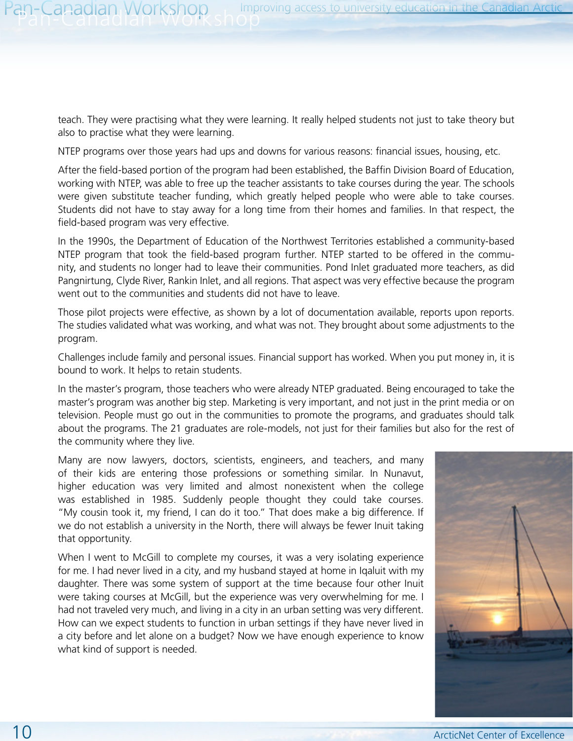teach. They were practising what they were learning. It really helped students not just to take theory but also to practise what they were learning.

NTEP programs over those years had ups and downs for various reasons: financial issues, housing, etc.

After the field-based portion of the program had been established, the Baffin Division Board of Education, working with NTEP, was able to free up the teacher assistants to take courses during the year. The schools were given substitute teacher funding, which greatly helped people who were able to take courses. Students did not have to stay away for a long time from their homes and families. In that respect, the field-based program was very effective.

In the 1990s, the Department of Education of the Northwest Territories established a community-based NTEP program that took the field-based program further. NTEP started to be offered in the community, and students no longer had to leave their communities. Pond Inlet graduated more teachers, as did Pangnirtung, Clyde River, Rankin Inlet, and all regions. That aspect was very effective because the program went out to the communities and students did not have to leave.

Those pilot projects were effective, as shown by a lot of documentation available, reports upon reports. The studies validated what was working, and what was not. They brought about some adjustments to the program.

Challenges include family and personal issues. Financial support has worked. When you put money in, it is bound to work. It helps to retain students.

In the master's program, those teachers who were already NTEP graduated. Being encouraged to take the master's program was another big step. Marketing is very important, and not just in the print media or on television. People must go out in the communities to promote the programs, and graduates should talk about the programs. The 21 graduates are role-models, not just for their families but also for the rest of the community where they live.

Many are now lawyers, doctors, scientists, engineers, and teachers, and many of their kids are entering those professions or something similar. In Nunavut, higher education was very limited and almost nonexistent when the college was established in 1985. Suddenly people thought they could take courses. "My cousin took it, my friend, I can do it too." That does make a big difference. If we do not establish a university in the North, there will always be fewer Inuit taking that opportunity.

When I went to McGill to complete my courses, it was a very isolating experience for me. I had never lived in a city, and my husband stayed at home in Iqaluit with my daughter. There was some system of support at the time because four other Inuit were taking courses at McGill, but the experience was very overwhelming for me. I had not traveled very much, and living in a city in an urban setting was very different. How can we expect students to function in urban settings if they have never lived in a city before and let alone on a budget? Now we have enough experience to know what kind of support is needed.

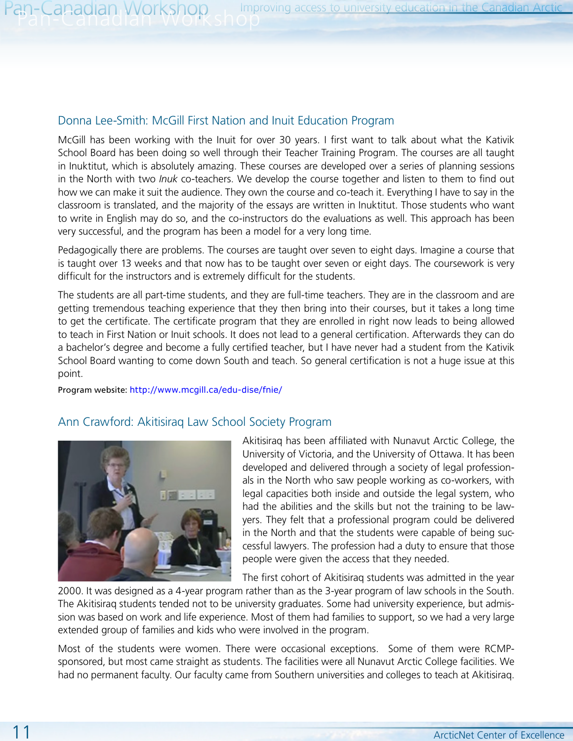#### Donna Lee-Smith: McGill First Nation and Inuit Education Program

McGill has been working with the Inuit for over 30 years. I first want to talk about what the Kativik School Board has been doing so well through their Teacher Training Program. The courses are all taught in Inuktitut, which is absolutely amazing. These courses are developed over a series of planning sessions in the North with two *Inuk* co-teachers. We develop the course together and listen to them to find out how we can make it suit the audience. They own the course and co-teach it. Everything I have to say in the classroom is translated, and the majority of the essays are written in Inuktitut. Those students who want to write in English may do so, and the co-instructors do the evaluations as well. This approach has been very successful, and the program has been a model for a very long time.

Pedagogically there are problems. The courses are taught over seven to eight days. Imagine a course that is taught over 13 weeks and that now has to be taught over seven or eight days. The coursework is very difficult for the instructors and is extremely difficult for the students.

The students are all part-time students, and they are full-time teachers. They are in the classroom and are getting tremendous teaching experience that they then bring into their courses, but it takes a long time to get the certificate. The certificate program that they are enrolled in right now leads to being allowed to teach in First Nation or Inuit schools. It does not lead to a general certification. Afterwards they can do a bachelor's degree and become a fully certified teacher, but I have never had a student from the Kativik School Board wanting to come down South and teach. So general certification is not a huge issue at this point.

Program website: <http://www.mcgill.ca/edu-dise/fnie/>

#### Ann Crawford: Akitisiraq Law School Society Program



Akitisiraq has been affiliated with Nunavut Arctic College, the University of Victoria, and the University of Ottawa. It has been developed and delivered through a society of legal professionals in the North who saw people working as co-workers, with legal capacities both inside and outside the legal system, who had the abilities and the skills but not the training to be lawyers. They felt that a professional program could be delivered in the North and that the students were capable of being successful lawyers. The profession had a duty to ensure that those people were given the access that they needed.

The first cohort of Akitisiraq students was admitted in the year

2000. It was designed as a 4-year program rather than as the 3-year program of law schools in the South. The Akitisiraq students tended not to be university graduates. Some had university experience, but admission was based on work and life experience. Most of them had families to support, so we had a very large extended group of families and kids who were involved in the program.

Most of the students were women. There were occasional exceptions. Some of them were RCMPsponsored, but most came straight as students. The facilities were all Nunavut Arctic College facilities. We had no permanent faculty. Our faculty came from Southern universities and colleges to teach at Akitisiraq.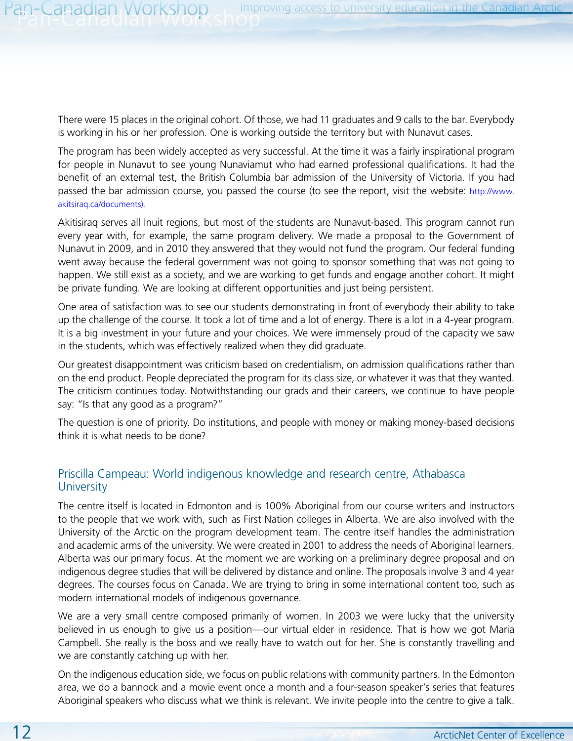There were 15 places in the original cohort. Of those, we had 11 graduates and 9 calls to the bar. Everybody is working in his or her profession. One is working outside the territory but with Nunavut cases.

The program has been widely accepted as very successful. At the time it was a fairly inspirational program for people in Nunavut to see young Nunaviamut who had earned professional qualifications. It had the benefit of an external test, the British Columbia bar admission of the University of Victoria. If you had passed the bar admission course, you passed the course (to see the report, visit the website: [http://www.](http://www.akitsiraq.ca/documents) [akitsiraq.ca/documents\)](http://www.akitsiraq.ca/documents).

Akitisiraq serves all Inuit regions, but most of the students are Nunavut-based. This program cannot run every year with, for example, the same program delivery. We made a proposal to the Government of Nunavut in 2009, and in 2010 they answered that they would not fund the program. Our federal funding went away because the federal government was not going to sponsor something that was not going to happen. We still exist as a society, and we are working to get funds and engage another cohort. It might be private funding. We are looking at different opportunities and just being persistent.

One area of satisfaction was to see our students demonstrating in front of everybody their ability to take up the challenge of the course. It took a lot of time and a lot of energy. There is a lot in a 4-year program. It is a big investment in your future and your choices. We were immensely proud of the capacity we saw in the students, which was effectively realized when they did graduate.

Our greatest disappointment was criticism based on credentialism, on admission qualifications rather than on the end product. People depreciated the program for its class size, or whatever it was that they wanted. The criticism continues today. Notwithstanding our grads and their careers, we continue to have people say: "Is that any good as a program?"

The question is one of priority. Do institutions, and people with money or making money-based decisions think it is what needs to be done?

#### Priscilla Campeau: World indigenous knowledge and research centre, Athabasca **University**

The centre itself is located in Edmonton and is 100% Aboriginal from our course writers and instructors to the people that we work with, such as First Nation colleges in Alberta. We are also involved with the University of the Arctic on the program development team. The centre itself handles the administration and academic arms of the university. We were created in 2001 to address the needs of Aboriginal learners. Alberta was our primary focus. At the moment we are working on a preliminary degree proposal and on indigenous degree studies that will be delivered by distance and online. The proposals involve 3 and 4 year degrees. The courses focus on Canada. We are trying to bring in some international content too, such as modern international models of indigenous governance.

We are a very small centre composed primarily of women. In 2003 we were lucky that the university believed in us enough to give us a position—our virtual elder in residence. That is how we got Maria Campbell. She really is the boss and we really have to watch out for her. She is constantly travelling and we are constantly catching up with her.

On the indigenous education side, we focus on public relations with community partners. In the Edmonton area, we do a bannock and a movie event once a month and a four-season speaker's series that features Aboriginal speakers who discuss what we think is relevant. We invite people into the centre to give a talk.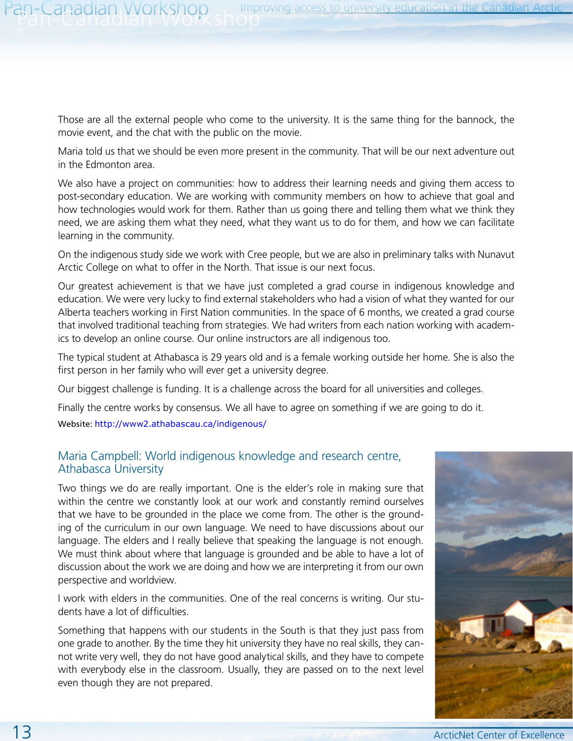Those are all the external people who come to the university. It is the same thing for the bannock, the movie event, and the chat with the public on the movie.

Maria told us that we should be even more present in the community. That will be our next adventure out in the Edmonton area.

We also have a project on communities: how to address their learning needs and giving them access to post-secondary education. We are working with community members on how to achieve that goal and how technologies would work for them. Rather than us going there and telling them what we think they need, we are asking them what they need, what they want us to do for them, and how we can facilitate learning in the community.

On the indigenous study side we work with Cree people, but we are also in preliminary talks with Nunavut Arctic College on what to offer in the North. That issue is our next focus.

Our greatest achievement is that we have just completed a grad course in indigenous knowledge and education. We were very lucky to find external stakeholders who had a vision of what they wanted for our Alberta teachers working in First Nation communities. In the space of 6 months, we created a grad course that involved traditional teaching from strategies. We had writers from each nation working with academics to develop an online course. Our online instructors are all indigenous too.

The typical student at Athabasca is 29 years old and is a female working outside her home. She is also the first person in her family who will ever get a university degree.

Our biggest challenge is funding. It is a challenge across the board for all universities and colleges.

Finally the centre works by consensus. We all have to agree on something if we are going to do it.

Website: <http://www2.athabascau.ca/indigenous/>

#### Maria Campbell: World indigenous knowledge and research centre, Athabasca University

Two things we do are really important. One is the elder's role in making sure that within the centre we constantly look at our work and constantly remind ourselves that we have to be grounded in the place we come from. The other is the grounding of the curriculum in our own language. We need to have discussions about our language. The elders and I really believe that speaking the language is not enough. We must think about where that language is grounded and be able to have a lot of discussion about the work we are doing and how we are interpreting it from our own perspective and worldview.

I work with elders in the communities. One of the real concerns is writing. Our students have a lot of difficulties.

Something that happens with our students in the South is that they just pass from one grade to another. By the time they hit university they have no real skills, they cannot write very well, they do not have good analytical skills, and they have to compete with everybody else in the classroom. Usually, they are passed on to the next level even though they are not prepared.

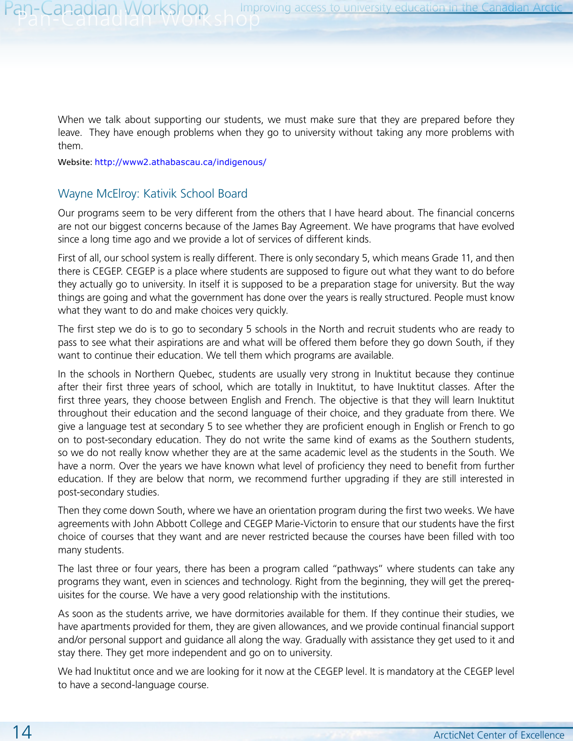When we talk about supporting our students, we must make sure that they are prepared before they leave. They have enough problems when they go to university without taking any more problems with them.

Website: <http://www2.athabascau.ca/indigenous/>

#### Wayne McElroy: Kativik School Board

Our programs seem to be very different from the others that I have heard about. The financial concerns are not our biggest concerns because of the James Bay Agreement. We have programs that have evolved since a long time ago and we provide a lot of services of different kinds.

First of all, our school system is really different. There is only secondary 5, which means Grade 11, and then there is CEGEP. CEGEP is a place where students are supposed to figure out what they want to do before they actually go to university. In itself it is supposed to be a preparation stage for university. But the way things are going and what the government has done over the years is really structured. People must know what they want to do and make choices very quickly.

The first step we do is to go to secondary 5 schools in the North and recruit students who are ready to pass to see what their aspirations are and what will be offered them before they go down South, if they want to continue their education. We tell them which programs are available.

In the schools in Northern Quebec, students are usually very strong in Inuktitut because they continue after their first three years of school, which are totally in Inuktitut, to have Inuktitut classes. After the first three years, they choose between English and French. The objective is that they will learn Inuktitut throughout their education and the second language of their choice, and they graduate from there. We give a language test at secondary 5 to see whether they are proficient enough in English or French to go on to post-secondary education. They do not write the same kind of exams as the Southern students, so we do not really know whether they are at the same academic level as the students in the South. We have a norm. Over the years we have known what level of proficiency they need to benefit from further education. If they are below that norm, we recommend further upgrading if they are still interested in post-secondary studies.

Then they come down South, where we have an orientation program during the first two weeks. We have agreements with John Abbott College and CEGEP Marie-Victorin to ensure that our students have the first choice of courses that they want and are never restricted because the courses have been filled with too many students.

The last three or four years, there has been a program called "pathways" where students can take any programs they want, even in sciences and technology. Right from the beginning, they will get the prerequisites for the course. We have a very good relationship with the institutions.

As soon as the students arrive, we have dormitories available for them. If they continue their studies, we have apartments provided for them, they are given allowances, and we provide continual financial support and/or personal support and guidance all along the way. Gradually with assistance they get used to it and stay there. They get more independent and go on to university.

We had Inuktitut once and we are looking for it now at the CEGEP level. It is mandatory at the CEGEP level to have a second-language course.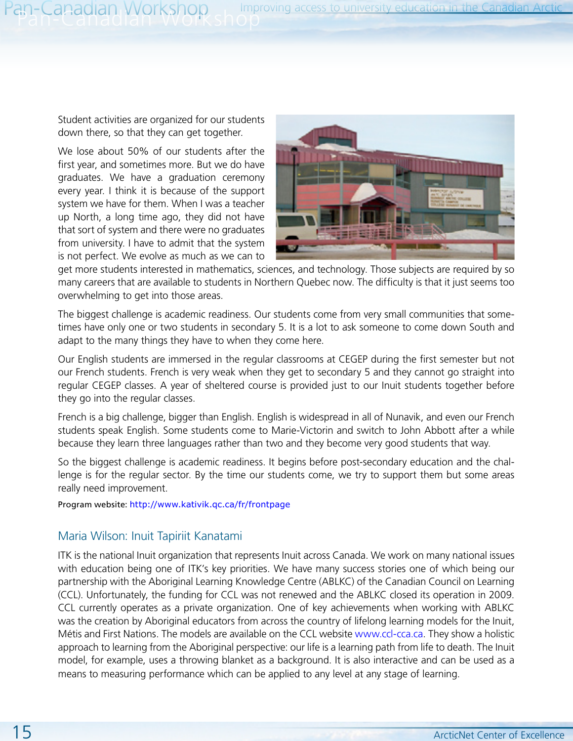Student activities are organized for our students down there, so that they can get together.

We lose about 50% of our students after the first year, and sometimes more. But we do have graduates. We have a graduation ceremony every year. I think it is because of the support system we have for them. When I was a teacher up North, a long time ago, they did not have that sort of system and there were no graduates from university. I have to admit that the system is not perfect. We evolve as much as we can to



get more students interested in mathematics, sciences, and technology. Those subjects are required by so many careers that are available to students in Northern Quebec now. The difficulty is that it just seems too overwhelming to get into those areas.

The biggest challenge is academic readiness. Our students come from very small communities that sometimes have only one or two students in secondary 5. It is a lot to ask someone to come down South and adapt to the many things they have to when they come here.

Our English students are immersed in the regular classrooms at CEGEP during the first semester but not our French students. French is very weak when they get to secondary 5 and they cannot go straight into regular CEGEP classes. A year of sheltered course is provided just to our Inuit students together before they go into the regular classes.

French is a big challenge, bigger than English. English is widespread in all of Nunavik, and even our French students speak English. Some students come to Marie-Victorin and switch to John Abbott after a while because they learn three languages rather than two and they become very good students that way.

So the biggest challenge is academic readiness. It begins before post-secondary education and the challenge is for the regular sector. By the time our students come, we try to support them but some areas really need improvement.

Program website: <http://www.kativik.qc.ca/fr/frontpage>

#### Maria Wilson: Inuit Tapiriit Kanatami

ITK is the national Inuit organization that represents Inuit across Canada. We work on many national issues with education being one of ITK's key priorities. We have many success stories one of which being our partnership with the Aboriginal Learning Knowledge Centre (ABLKC) of the Canadian Council on Learning (CCL). Unfortunately, the funding for CCL was not renewed and the ABLKC closed its operation in 2009. CCL currently operates as a private organization. One of key achievements when working with ABLKC was the creation by Aboriginal educators from across the country of lifelong learning models for the Inuit, Métis and First Nations. The models are available on the CCL website [www.ccl-cca.ca](http://www.ccl-cca.ca). They show a holistic approach to learning from the Aboriginal perspective: our life is a learning path from life to death. The Inuit model, for example, uses a throwing blanket as a background. It is also interactive and can be used as a means to measuring performance which can be applied to any level at any stage of learning.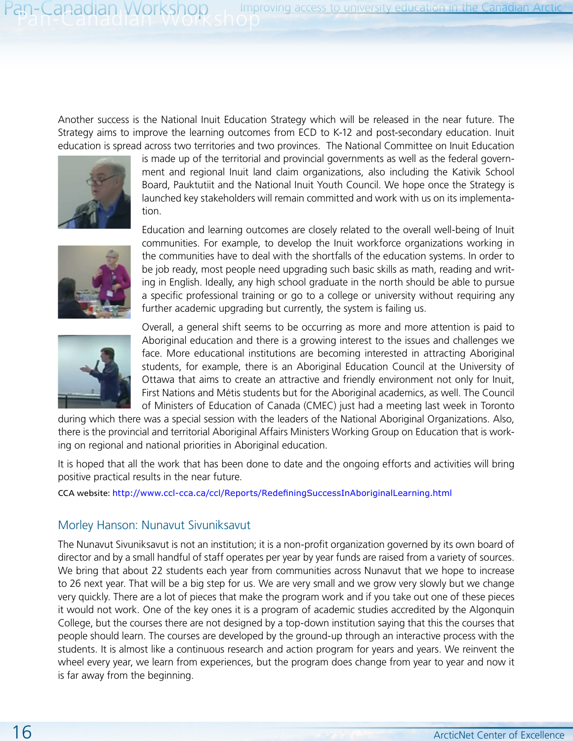Another success is the National Inuit Education Strategy which will be released in the near future. The Strategy aims to improve the learning outcomes from ECD to K-12 and post-secondary education. Inuit education is spread across two territories and two provinces. The National Committee on Inuit Education



is made up of the territorial and provincial governments as well as the federal government and regional Inuit land claim organizations, also including the Kativik School Board, Pauktutiit and the National Inuit Youth Council. We hope once the Strategy is launched key stakeholders will remain committed and work with us on its implementation.



Education and learning outcomes are closely related to the overall well-being of Inuit communities. For example, to develop the Inuit workforce organizations working in the communities have to deal with the shortfalls of the education systems. In order to be job ready, most people need upgrading such basic skills as math, reading and writing in English. Ideally, any high school graduate in the north should be able to pursue a specific professional training or go to a college or university without requiring any further academic upgrading but currently, the system is failing us.



Overall, a general shift seems to be occurring as more and more attention is paid to Aboriginal education and there is a growing interest to the issues and challenges we face. More educational institutions are becoming interested in attracting Aboriginal students, for example, there is an Aboriginal Education Council at the University of Ottawa that aims to create an attractive and friendly environment not only for Inuit, First Nations and Métis students but for the Aboriginal academics, as well. The Council of Ministers of Education of Canada (CMEC) just had a meeting last week in Toronto

during which there was a special session with the leaders of the National Aboriginal Organizations. Also, there is the provincial and territorial Aboriginal Affairs Ministers Working Group on Education that is working on regional and national priorities in Aboriginal education.

It is hoped that all the work that has been done to date and the ongoing efforts and activities will bring positive practical results in the near future.

CCA website: <http://www.ccl-cca.ca/ccl/Reports/RedefiningSuccessInAboriginalLearning.html>

#### Morley Hanson: Nunavut Sivuniksavut

The Nunavut Sivuniksavut is not an institution; it is a non-profit organization governed by its own board of director and by a small handful of staff operates per year by year funds are raised from a variety of sources. We bring that about 22 students each year from communities across Nunavut that we hope to increase to 26 next year. That will be a big step for us. We are very small and we grow very slowly but we change very quickly. There are a lot of pieces that make the program work and if you take out one of these pieces it would not work. One of the key ones it is a program of academic studies accredited by the Algonquin College, but the courses there are not designed by a top-down institution saying that this the courses that people should learn. The courses are developed by the ground-up through an interactive process with the students. It is almost like a continuous research and action program for years and years. We reinvent the wheel every year, we learn from experiences, but the program does change from year to year and now it is far away from the beginning.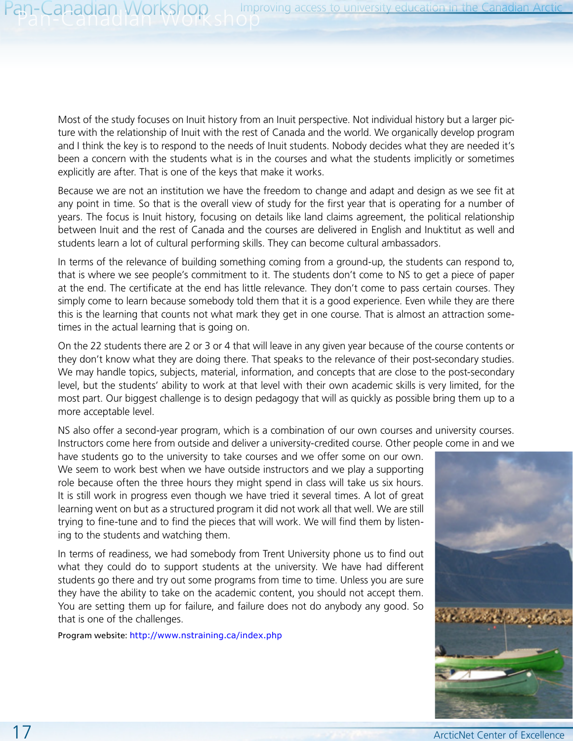Most of the study focuses on Inuit history from an Inuit perspective. Not individual history but a larger picture with the relationship of Inuit with the rest of Canada and the world. We organically develop program and I think the key is to respond to the needs of Inuit students. Nobody decides what they are needed it's been a concern with the students what is in the courses and what the students implicitly or sometimes explicitly are after. That is one of the keys that make it works.

Because we are not an institution we have the freedom to change and adapt and design as we see fit at any point in time. So that is the overall view of study for the first year that is operating for a number of years. The focus is Inuit history, focusing on details like land claims agreement, the political relationship between Inuit and the rest of Canada and the courses are delivered in English and Inuktitut as well and students learn a lot of cultural performing skills. They can become cultural ambassadors.

In terms of the relevance of building something coming from a ground-up, the students can respond to, that is where we see people's commitment to it. The students don't come to NS to get a piece of paper at the end. The certificate at the end has little relevance. They don't come to pass certain courses. They simply come to learn because somebody told them that it is a good experience. Even while they are there this is the learning that counts not what mark they get in one course. That is almost an attraction sometimes in the actual learning that is going on.

On the 22 students there are 2 or 3 or 4 that will leave in any given year because of the course contents or they don't know what they are doing there. That speaks to the relevance of their post-secondary studies. We may handle topics, subjects, material, information, and concepts that are close to the post-secondary level, but the students' ability to work at that level with their own academic skills is very limited, for the most part. Our biggest challenge is to design pedagogy that will as quickly as possible bring them up to a more acceptable level.

NS also offer a second-year program, which is a combination of our own courses and university courses. Instructors come here from outside and deliver a university-credited course. Other people come in and we

have students go to the university to take courses and we offer some on our own. We seem to work best when we have outside instructors and we play a supporting role because often the three hours they might spend in class will take us six hours. It is still work in progress even though we have tried it several times. A lot of great learning went on but as a structured program it did not work all that well. We are still trying to fine-tune and to find the pieces that will work. We will find them by listening to the students and watching them.

In terms of readiness, we had somebody from Trent University phone us to find out what they could do to support students at the university. We have had different students go there and try out some programs from time to time. Unless you are sure they have the ability to take on the academic content, you should not accept them. You are setting them up for failure, and failure does not do anybody any good. So that is one of the challenges.

Program website: <http://www.nstraining.ca/index.php>

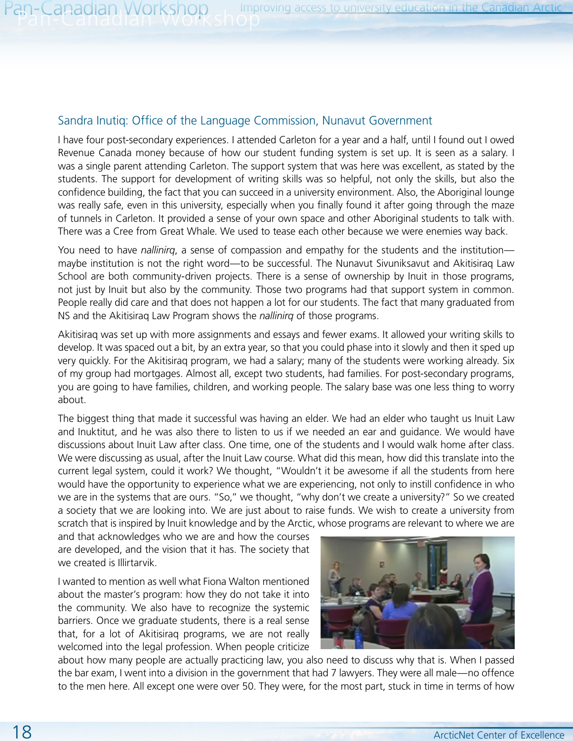#### Sandra Inutiq: Office of the Language Commission, Nunavut Government

I have four post-secondary experiences. I attended Carleton for a year and a half, until I found out I owed Revenue Canada money because of how our student funding system is set up. It is seen as a salary. I was a single parent attending Carleton. The support system that was here was excellent, as stated by the students. The support for development of writing skills was so helpful, not only the skills, but also the confidence building, the fact that you can succeed in a university environment. Also, the Aboriginal lounge was really safe, even in this university, especially when you finally found it after going through the maze of tunnels in Carleton. It provided a sense of your own space and other Aboriginal students to talk with. There was a Cree from Great Whale. We used to tease each other because we were enemies way back.

You need to have *nallinirq*, a sense of compassion and empathy for the students and the institution maybe institution is not the right word—to be successful. The Nunavut Sivuniksavut and Akitisiraq Law School are both community-driven projects. There is a sense of ownership by Inuit in those programs, not just by Inuit but also by the community. Those two programs had that support system in common. People really did care and that does not happen a lot for our students. The fact that many graduated from NS and the Akitisiraq Law Program shows the *nallinirq* of those programs.

Akitisiraq was set up with more assignments and essays and fewer exams. It allowed your writing skills to develop. It was spaced out a bit, by an extra year, so that you could phase into it slowly and then it sped up very quickly. For the Akitisiraq program, we had a salary; many of the students were working already. Six of my group had mortgages. Almost all, except two students, had families. For post-secondary programs, you are going to have families, children, and working people. The salary base was one less thing to worry about.

The biggest thing that made it successful was having an elder. We had an elder who taught us Inuit Law and Inuktitut, and he was also there to listen to us if we needed an ear and guidance. We would have discussions about Inuit Law after class. One time, one of the students and I would walk home after class. We were discussing as usual, after the Inuit Law course. What did this mean, how did this translate into the current legal system, could it work? We thought, "Wouldn't it be awesome if all the students from here would have the opportunity to experience what we are experiencing, not only to instill confidence in who we are in the systems that are ours. "So," we thought, "why don't we create a university?" So we created a society that we are looking into. We are just about to raise funds. We wish to create a university from scratch that is inspired by Inuit knowledge and by the Arctic, whose programs are relevant to where we are

and that acknowledges who we are and how the courses are developed, and the vision that it has. The society that we created is Illirtarvik.

I wanted to mention as well what Fiona Walton mentioned about the master's program: how they do not take it into the community. We also have to recognize the systemic barriers. Once we graduate students, there is a real sense that, for a lot of Akitisiraq programs, we are not really welcomed into the legal profession. When people criticize



about how many people are actually practicing law, you also need to discuss why that is. When I passed the bar exam, I went into a division in the government that had 7 lawyers. They were all male—no offence to the men here. All except one were over 50. They were, for the most part, stuck in time in terms of how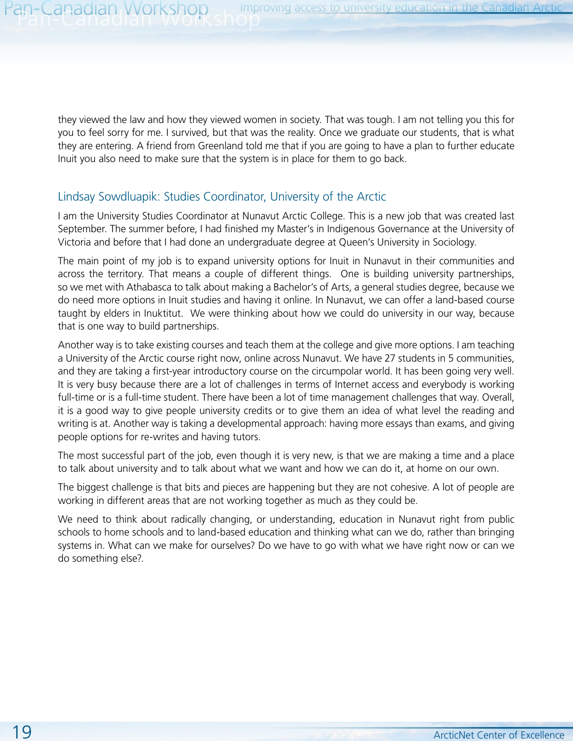they viewed the law and how they viewed women in society. That was tough. I am not telling you this for you to feel sorry for me. I survived, but that was the reality. Once we graduate our students, that is what they are entering. A friend from Greenland told me that if you are going to have a plan to further educate Inuit you also need to make sure that the system is in place for them to go back.

#### Lindsay Sowdluapik: Studies Coordinator, University of the Arctic

I am the University Studies Coordinator at Nunavut Arctic College. This is a new job that was created last September. The summer before, I had finished my Master's in Indigenous Governance at the University of Victoria and before that I had done an undergraduate degree at Queen's University in Sociology.

The main point of my job is to expand university options for Inuit in Nunavut in their communities and across the territory. That means a couple of different things. One is building university partnerships, so we met with Athabasca to talk about making a Bachelor's of Arts, a general studies degree, because we do need more options in Inuit studies and having it online. In Nunavut, we can offer a land-based course taught by elders in Inuktitut. We were thinking about how we could do university in our way, because that is one way to build partnerships.

Another way is to take existing courses and teach them at the college and give more options. I am teaching a University of the Arctic course right now, online across Nunavut. We have 27 students in 5 communities, and they are taking a first-year introductory course on the circumpolar world. It has been going very well. It is very busy because there are a lot of challenges in terms of Internet access and everybody is working full-time or is a full-time student. There have been a lot of time management challenges that way. Overall, it is a good way to give people university credits or to give them an idea of what level the reading and writing is at. Another way is taking a developmental approach: having more essays than exams, and giving people options for re-writes and having tutors.

The most successful part of the job, even though it is very new, is that we are making a time and a place to talk about university and to talk about what we want and how we can do it, at home on our own.

The biggest challenge is that bits and pieces are happening but they are not cohesive. A lot of people are working in different areas that are not working together as much as they could be.

We need to think about radically changing, or understanding, education in Nunavut right from public schools to home schools and to land-based education and thinking what can we do, rather than bringing systems in. What can we make for ourselves? Do we have to go with what we have right now or can we do something else?.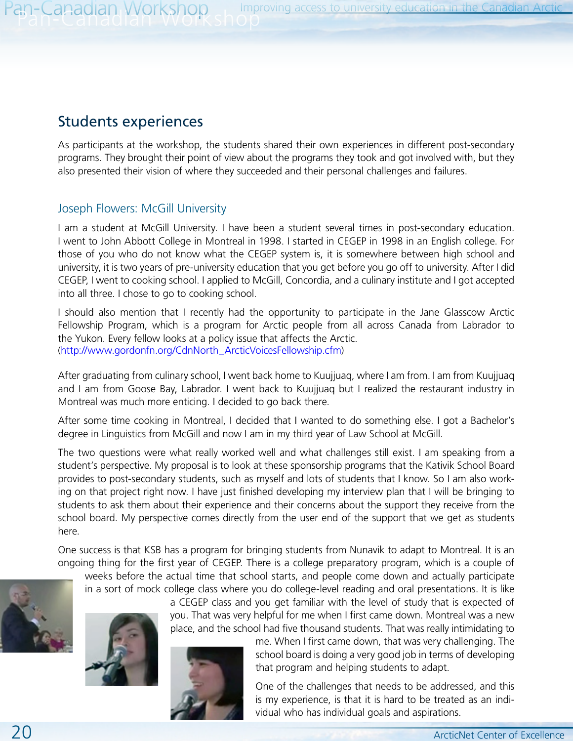# Students experiences

As participants at the workshop, the students shared their own experiences in different post-secondary programs. They brought their point of view about the programs they took and got involved with, but they also presented their vision of where they succeeded and their personal challenges and failures.

#### Joseph Flowers: McGill University

I am a student at McGill University. I have been a student several times in post-secondary education. I went to John Abbott College in Montreal in 1998. I started in CEGEP in 1998 in an English college. For those of you who do not know what the CEGEP system is, it is somewhere between high school and university, it is two years of pre-university education that you get before you go off to university. After I did CEGEP, I went to cooking school. I applied to McGill, Concordia, and a culinary institute and I got accepted into all three. I chose to go to cooking school.

I should also mention that I recently had the opportunity to participate in the Jane Glasscow Arctic Fellowship Program, which is a program for Arctic people from all across Canada from Labrador to the Yukon. Every fellow looks at a policy issue that affects the Arctic. [\(http://www.gordonfn.org/CdnNorth\\_ArcticVoicesFellowship.cfm\)](http://www.gordonfn.org/CdnNorth_ArcticVoicesFellowship.cfm)

After graduating from culinary school, I went back home to Kuujjuaq, where I am from. I am from Kuujjuaq and I am from Goose Bay, Labrador. I went back to Kuujjuaq but I realized the restaurant industry in Montreal was much more enticing. I decided to go back there.

After some time cooking in Montreal, I decided that I wanted to do something else. I got a Bachelor's degree in Linguistics from McGill and now I am in my third year of Law School at McGill.

The two questions were what really worked well and what challenges still exist. I am speaking from a student's perspective. My proposal is to look at these sponsorship programs that the Kativik School Board provides to post-secondary students, such as myself and lots of students that I know. So I am also working on that project right now. I have just finished developing my interview plan that I will be bringing to students to ask them about their experience and their concerns about the support they receive from the school board. My perspective comes directly from the user end of the support that we get as students here.

One success is that KSB has a program for bringing students from Nunavik to adapt to Montreal. It is an ongoing thing for the first year of CEGEP. There is a college preparatory program, which is a couple of

weeks before the actual time that school starts, and people come down and actually participate in a sort of mock college class where you do college-level reading and oral presentations. It is like



a CEGEP class and you get familiar with the level of study that is expected of you. That was very helpful for me when I first came down. Montreal was a new place, and the school had five thousand students. That was really intimidating to



me. When I first came down, that was very challenging. The school board is doing a very good job in terms of developing that program and helping students to adapt.

One of the challenges that needs to be addressed, and this is my experience, is that it is hard to be treated as an individual who has individual goals and aspirations.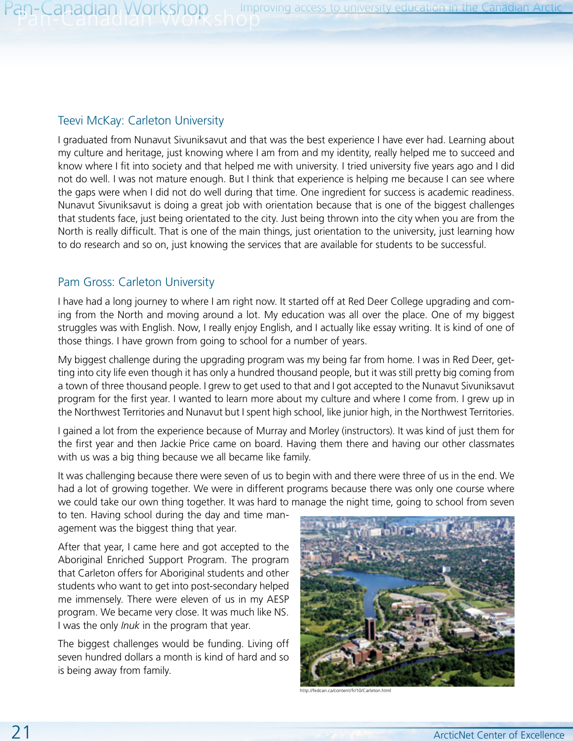#### Teevi McKay: Carleton University

I graduated from Nunavut Sivuniksavut and that was the best experience I have ever had. Learning about my culture and heritage, just knowing where I am from and my identity, really helped me to succeed and know where I fit into society and that helped me with university. I tried university five years ago and I did not do well. I was not mature enough. But I think that experience is helping me because I can see where the gaps were when I did not do well during that time. One ingredient for success is academic readiness. Nunavut Sivuniksavut is doing a great job with orientation because that is one of the biggest challenges that students face, just being orientated to the city. Just being thrown into the city when you are from the North is really difficult. That is one of the main things, just orientation to the university, just learning how to do research and so on, just knowing the services that are available for students to be successful.

#### Pam Gross: Carleton University

I have had a long journey to where I am right now. It started off at Red Deer College upgrading and coming from the North and moving around a lot. My education was all over the place. One of my biggest struggles was with English. Now, I really enjoy English, and I actually like essay writing. It is kind of one of those things. I have grown from going to school for a number of years.

My biggest challenge during the upgrading program was my being far from home. I was in Red Deer, getting into city life even though it has only a hundred thousand people, but it was still pretty big coming from a town of three thousand people. I grew to get used to that and I got accepted to the Nunavut Sivuniksavut program for the first year. I wanted to learn more about my culture and where I come from. I grew up in the Northwest Territories and Nunavut but I spent high school, like junior high, in the Northwest Territories.

I gained a lot from the experience because of Murray and Morley (instructors). It was kind of just them for the first year and then Jackie Price came on board. Having them there and having our other classmates with us was a big thing because we all became like family.

It was challenging because there were seven of us to begin with and there were three of us in the end. We had a lot of growing together. We were in different programs because there was only one course where we could take our own thing together. It was hard to manage the night time, going to school from seven

to ten. Having school during the day and time management was the biggest thing that year.

After that year, I came here and got accepted to the Aboriginal Enriched Support Program. The program that Carleton offers for Aboriginal students and other students who want to get into post-secondary helped me immensely. There were eleven of us in my AESP program. We became very close. It was much like NS. I was the only *Inuk* in the program that year.

The biggest challenges would be funding. Living off seven hundred dollars a month is kind of hard and so is being away from family.



http://fedcan.ca/content/fr/10/Carleton.html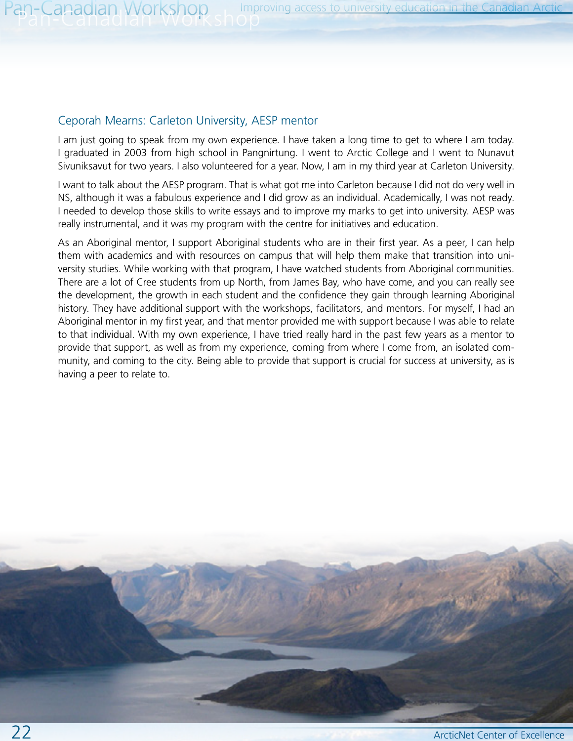#### Ceporah Mearns: Carleton University, AESP mentor

I am just going to speak from my own experience. I have taken a long time to get to where I am today. I graduated in 2003 from high school in Pangnirtung. I went to Arctic College and I went to Nunavut Sivuniksavut for two years. I also volunteered for a year. Now, I am in my third year at Carleton University.

I want to talk about the AESP program. That is what got me into Carleton because I did not do very well in NS, although it was a fabulous experience and I did grow as an individual. Academically, I was not ready. I needed to develop those skills to write essays and to improve my marks to get into university. AESP was really instrumental, and it was my program with the centre for initiatives and education.

As an Aboriginal mentor, I support Aboriginal students who are in their first year. As a peer, I can help them with academics and with resources on campus that will help them make that transition into university studies. While working with that program, I have watched students from Aboriginal communities. There are a lot of Cree students from up North, from James Bay, who have come, and you can really see the development, the growth in each student and the confidence they gain through learning Aboriginal history. They have additional support with the workshops, facilitators, and mentors. For myself, I had an Aboriginal mentor in my first year, and that mentor provided me with support because I was able to relate to that individual. With my own experience, I have tried really hard in the past few years as a mentor to provide that support, as well as from my experience, coming from where I come from, an isolated community, and coming to the city. Being able to provide that support is crucial for success at university, as is having a peer to relate to.

22 ArcticNet Center of Excellence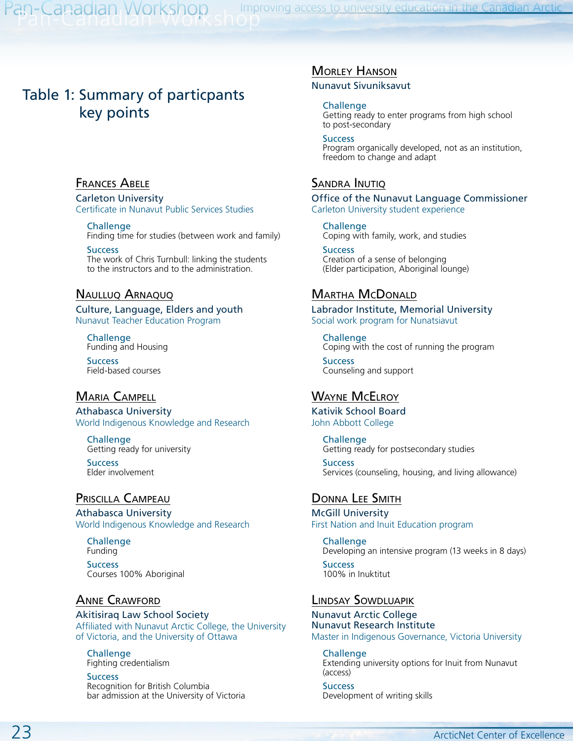Pan-Canadian Workshop Improving access to university education in the Canadian Arctic

### Table 1: Summary of particpants key points

#### Frances Abele

Carleton University Certificate in Nunavut Public Services Studies

Challenge Finding time for studies (between work and family)

**Success** The work of Chris Turnbull: linking the students to the instructors and to the administration.

#### Naulluq Arnaquq

Culture, Language, Elders and youth Nunavut Teacher Education Program

Challenge Funding and Housing

**Success** Field-based courses

#### Maria Campell

Athabasca University World Indigenous Knowledge and Research

Challenge Getting ready for university

**Success** Elder involvement

#### Priscilla Campeau

Athabasca University World Indigenous Knowledge and Research

Challenge Funding

**Success** Courses 100% Aboriginal

#### Anne Crawford

Akitisiraq Law School Society Affiliated with Nunavut Arctic College, the University of Victoria, and the University of Ottawa

Challenge Fighting credentialism

**Success** Recognition for British Columbia bar admission at the University of Victoria

#### Morley Hanson

Nunavut Sivuniksavut

#### **Challenge**

Getting ready to enter programs from high school to post-secondary

#### **Success**

Program organically developed, not as an institution, freedom to change and adapt

#### SANDRA INUTIQ

Office of the Nunavut Language Commissioner Carleton University student experience

Challenge Coping with family, work, and studies

**Success** Creation of a sense of belonging (Elder participation, Aboriginal lounge)

#### Martha McDonald

Labrador Institute, Memorial University Social work program for Nunatsiavut

Challenge Coping with the cost of running the program

**Success** Counseling and support

#### Wayne McElroy

Kativik School Board John Abbott College

> Challenge Getting ready for postsecondary studies

**Success** Services (counseling, housing, and living allowance)

#### Donna Lee Smith

McGill University First Nation and Inuit Education program

Challenge

Developing an intensive program (13 weeks in 8 days) **Success** 

100% in Inuktitut

#### Lindsay Sowdluapik

Nunavut Arctic College Nunavut Research Institute Master in Indigenous Governance, Victoria University

Challenge

Extending university options for Inuit from Nunavut (access)

**Success** Development of writing skills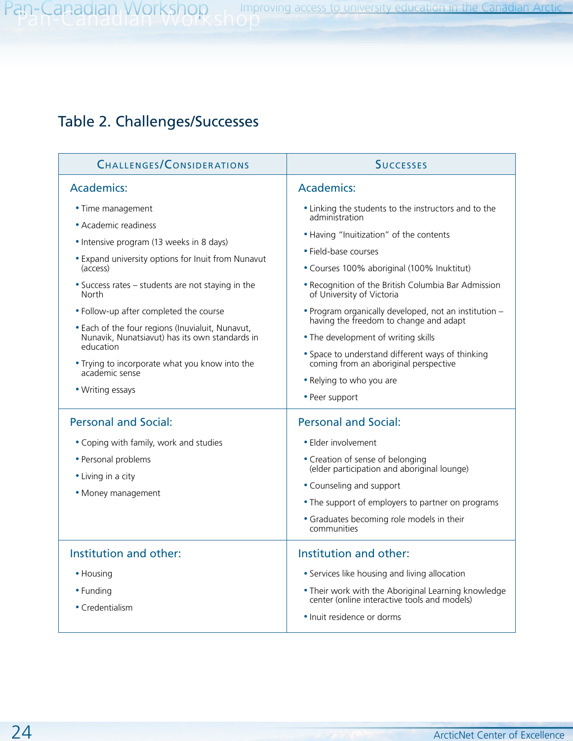# Table 2. Challenges/Successes

| <b>CHALLENGES/CONSIDERATIONS</b>                                                                                                                                                                                                                                                                                                                                                                                                                                           | <b>SUCCESSES</b>                                                                                                                                                                                                                                                                                                                                                                                                                                                                                                                                                 |
|----------------------------------------------------------------------------------------------------------------------------------------------------------------------------------------------------------------------------------------------------------------------------------------------------------------------------------------------------------------------------------------------------------------------------------------------------------------------------|------------------------------------------------------------------------------------------------------------------------------------------------------------------------------------------------------------------------------------------------------------------------------------------------------------------------------------------------------------------------------------------------------------------------------------------------------------------------------------------------------------------------------------------------------------------|
| <b>Academics:</b>                                                                                                                                                                                                                                                                                                                                                                                                                                                          | <b>Academics:</b>                                                                                                                                                                                                                                                                                                                                                                                                                                                                                                                                                |
| • Time management<br>• Academic readiness<br>• Intensive program (13 weeks in 8 days)<br>• Expand university options for Inuit from Nunavut<br>(access)<br>• Success rates - students are not staying in the<br>North<br>• Follow-up after completed the course<br>. Each of the four regions (Inuvialuit, Nunavut,<br>Nunavik, Nunatsiavut) has its own standards in<br>education<br>. Trying to incorporate what you know into the<br>academic sense<br>• Writing essays | • Linking the students to the instructors and to the<br>administration<br>. Having "Inuitization" of the contents<br>• Field-base courses<br>• Courses 100% aboriginal (100% Inuktitut)<br>. Recognition of the British Columbia Bar Admission<br>of University of Victoria<br>. Program organically developed, not an institution -<br>having the freedom to change and adapt<br>• The development of writing skills<br>• Space to understand different ways of thinking<br>coming from an aboriginal perspective<br>• Relying to who you are<br>• Peer support |
| <b>Personal and Social:</b><br>• Coping with family, work and studies<br>• Personal problems<br>• Living in a city<br>• Money management                                                                                                                                                                                                                                                                                                                                   | <b>Personal and Social:</b><br>• Elder involvement<br>• Creation of sense of belonging<br>(elder participation and aboriginal lounge)<br>• Counseling and support<br>• The support of employers to partner on programs<br>• Graduates becoming role models in their<br>communities                                                                                                                                                                                                                                                                               |
| Institution and other:<br>• Housing<br>• Funding<br>• Credentialism                                                                                                                                                                                                                                                                                                                                                                                                        | Institution and other:<br>• Services like housing and living allocation<br>. Their work with the Aboriginal Learning knowledge<br>center (online interactive tools and models)<br>• Inuit residence or dorms                                                                                                                                                                                                                                                                                                                                                     |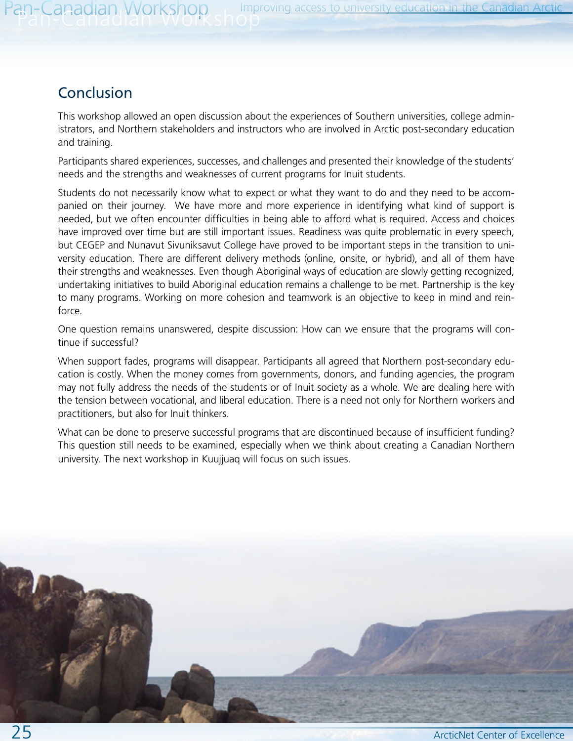# Conclusion

This workshop allowed an open discussion about the experiences of Southern universities, college administrators, and Northern stakeholders and instructors who are involved in Arctic post-secondary education and training.

Participants shared experiences, successes, and challenges and presented their knowledge of the students' needs and the strengths and weaknesses of current programs for Inuit students.

Students do not necessarily know what to expect or what they want to do and they need to be accompanied on their journey. We have more and more experience in identifying what kind of support is needed, but we often encounter difficulties in being able to afford what is required. Access and choices have improved over time but are still important issues. Readiness was quite problematic in every speech, but CEGEP and Nunavut Sivuniksavut College have proved to be important steps in the transition to university education. There are different delivery methods (online, onsite, or hybrid), and all of them have their strengths and weaknesses. Even though Aboriginal ways of education are slowly getting recognized, undertaking initiatives to build Aboriginal education remains a challenge to be met. Partnership is the key to many programs. Working on more cohesion and teamwork is an objective to keep in mind and reinforce.

One question remains unanswered, despite discussion: How can we ensure that the programs will continue if successful?

When support fades, programs will disappear. Participants all agreed that Northern post-secondary education is costly. When the money comes from governments, donors, and funding agencies, the program may not fully address the needs of the students or of Inuit society as a whole. We are dealing here with the tension between vocational, and liberal education. There is a need not only for Northern workers and practitioners, but also for Inuit thinkers.

What can be done to preserve successful programs that are discontinued because of insufficient funding? This question still needs to be examined, especially when we think about creating a Canadian Northern university. The next workshop in Kuujjuaq will focus on such issues.

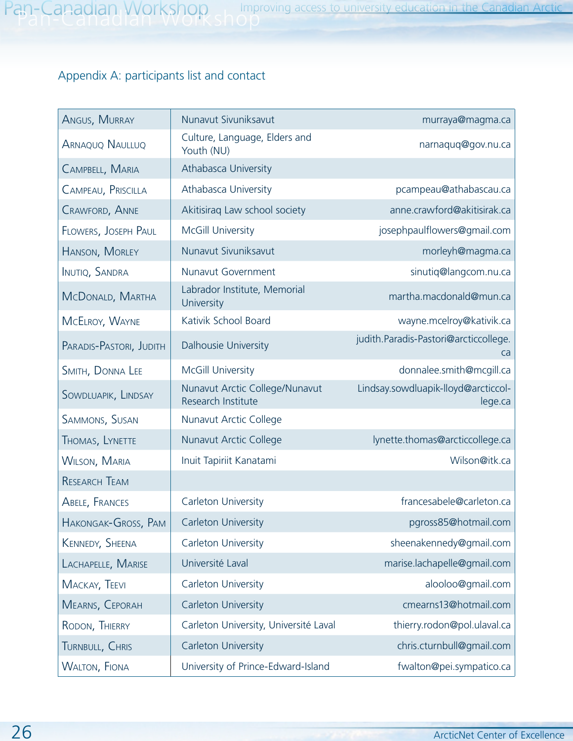# Appendix A: participants list and contact

| ANGUS, MURRAY           | Nunavut Sivuniksavut                                 | murraya@magma.ca                               |
|-------------------------|------------------------------------------------------|------------------------------------------------|
| <b>ARNAQUO NAULLUQ</b>  | Culture, Language, Elders and<br>Youth (NU)          | narnaquq@gov.nu.ca                             |
| CAMPBELL, MARIA         | Athabasca University                                 |                                                |
| CAMPEAU, PRISCILLA      | Athabasca University                                 | pcampeau@athabascau.ca                         |
| <b>CRAWFORD, ANNE</b>   | Akitisiraq Law school society                        | anne.crawford@akitisirak.ca                    |
| FLOWERS, JOSEPH PAUL    | McGill University                                    | josephpaulflowers@gmail.com                    |
| HANSON, MORLEY          | Nunavut Sivuniksavut                                 | morleyh@magma.ca                               |
| <b>INUTIQ, SANDRA</b>   | Nunavut Government                                   | sinutiq@langcom.nu.ca                          |
| MCDONALD, MARTHA        | Labrador Institute, Memorial<br>University           | martha.macdonald@mun.ca                        |
| MCELROY, WAYNE          | Kativik School Board                                 | wayne.mcelroy@kativik.ca                       |
| PARADIS-PASTORI, JUDITH | Dalhousie University                                 | judith.Paradis-Pastori@arcticcollege.<br>ca    |
| SMITH, DONNA LEE        | McGill University                                    | donnalee.smith@mcgill.ca                       |
| SOWDLUAPIK, LINDSAY     | Nunavut Arctic College/Nunavut<br>Research Institute | Lindsay.sowdluapik-lloyd@arcticcol-<br>lege.ca |
| SAMMONS, SUSAN          | Nunavut Arctic College                               |                                                |
| THOMAS, LYNETTE         | Nunavut Arctic College                               | lynette.thomas@arcticcollege.ca                |
| <b>WILSON, MARIA</b>    | Inuit Tapiriit Kanatami                              | Wilson@itk.ca                                  |
| <b>RESEARCH TEAM</b>    |                                                      |                                                |
| ABELE, FRANCES          | Carleton University                                  | francesabele@carleton.ca                       |
| HAKONGAK-GROSS, PAM     | Carleton University                                  | pgross85@hotmail.com                           |
| KENNEDY, SHEENA         | Carleton University                                  | sheenakennedy@gmail.com                        |
| LACHAPELLE, MARISE      | Université Laval                                     | marise.lachapelle@gmail.com                    |
| MACKAY, TEEVI           | Carleton University                                  | alooloo@gmail.com                              |
| MEARNS, CEPORAH         | Carleton University                                  | cmearns13@hotmail.com                          |
| RODON, THIERRY          | Carleton University, Université Laval                | thierry.rodon@pol.ulaval.ca                    |
| TURNBULL, CHRIS         | Carleton University                                  | chris.cturnbull@gmail.com                      |
| <b>WALTON, FIONA</b>    | University of Prince-Edward-Island                   | fwalton@pei.sympatico.ca                       |